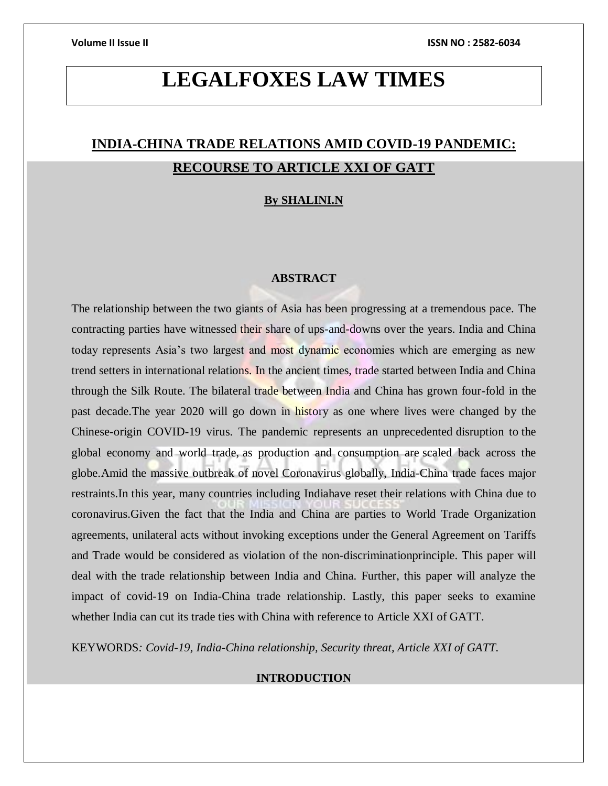# **LEGALFOXES LAW TIMES**

# **INDIA-CHINA TRADE RELATIONS AMID COVID-19 PANDEMIC: RECOURSE TO ARTICLE XXI OF GATT**

# **By SHALINI.N**

# **ABSTRACT**

The relationship between the two giants of Asia has been progressing at a tremendous pace. The contracting parties have witnessed their share of ups-and-downs over the years. India and China today represents Asia's two largest and most dynamic economies which are emerging as new trend setters in international relations. In the ancient times, trade started between India and China through the Silk Route. The bilateral trade between India and China has grown four-fold in the past decade.The year 2020 will go down in history as one where lives were changed by the Chinese-origin COVID-19 virus. The pandemic represents an unprecedented disruption to the global economy and world trade, as production and consumption are scaled back across the globe.Amid the massive outbreak of novel Coronavirus globally, India-China trade faces major restraints.In this year, many countries including Indiahave reset their relations with China due to coronavirus.Given the fact that the India and China are parties to World Trade Organization agreements, unilateral acts without invoking exceptions under the General Agreement on Tariffs and Trade would be considered as violation of the non-discriminationprinciple. This paper will deal with the trade relationship between India and China. Further, this paper will analyze the impact of covid-19 on India-China trade relationship. Lastly, this paper seeks to examine whether India can cut its trade ties with China with reference to Article XXI of GATT.

KEYWORDS*: Covid-19, India-China relationship, Security threat, Article XXI of GATT.*

# **INTRODUCTION**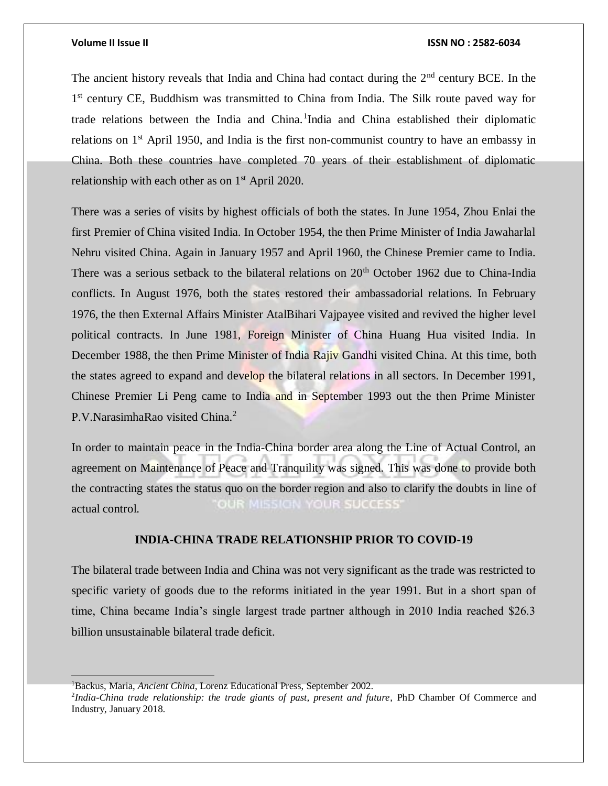The ancient history reveals that India and China had contact during the  $2<sup>nd</sup>$  century BCE. In the 1<sup>st</sup> century CE, Buddhism was transmitted to China from India. The Silk route paved way for trade relations between the India and China.<sup>1</sup>India and China established their diplomatic relations on 1<sup>st</sup> April 1950, and India is the first non-communist country to have an embassy in China. Both these countries have completed 70 years of their establishment of diplomatic relationship with each other as on  $1<sup>st</sup>$  April 2020.

There was a series of visits by highest officials of both the states. In June 1954, Zhou Enlai the first Premier of China visited India. In October 1954, the then Prime Minister of India Jawaharlal Nehru visited China. Again in January 1957 and April 1960, the Chinese Premier came to India. There was a serious setback to the bilateral relations on  $20<sup>th</sup>$  October 1962 due to China-India conflicts. In August 1976, both the states restored their ambassadorial relations. In February 1976, the then External Affairs Minister AtalBihari Vajpayee visited and revived the higher level political contracts. In June 1981, Foreign Minister of China Huang Hua visited India. In December 1988, the then Prime Minister of India Rajiv Gandhi visited China. At this time, both the states agreed to expand and develop the bilateral relations in all sectors. In December 1991, Chinese Premier Li Peng came to India and in September 1993 out the then Prime Minister P.V.NarasimhaRao visited China.<sup>2</sup>

In order to maintain peace in the India-China border area along the Line of Actual Control, an agreement on Maintenance of Peace and Tranquility was signed. This was done to provide both the contracting states the status quo on the border region and also to clarify the doubts in line of OUR MISSION YOUR SUCCESS' actual control.

# **INDIA-CHINA TRADE RELATIONSHIP PRIOR TO COVID-19**

The bilateral trade between India and China was not very significant as the trade was restricted to specific variety of goods due to the reforms initiated in the year 1991. But in a short span of time, China became India's single largest trade partner although in 2010 India reached \$26.3 billion unsustainable bilateral trade deficit.

<sup>1</sup>Backus, Maria, *Ancient China*, Lorenz Educational Press, September 2002.

<sup>2</sup> *India-China trade relationship: the trade giants of past, present and future*, PhD Chamber Of Commerce and Industry, January 2018.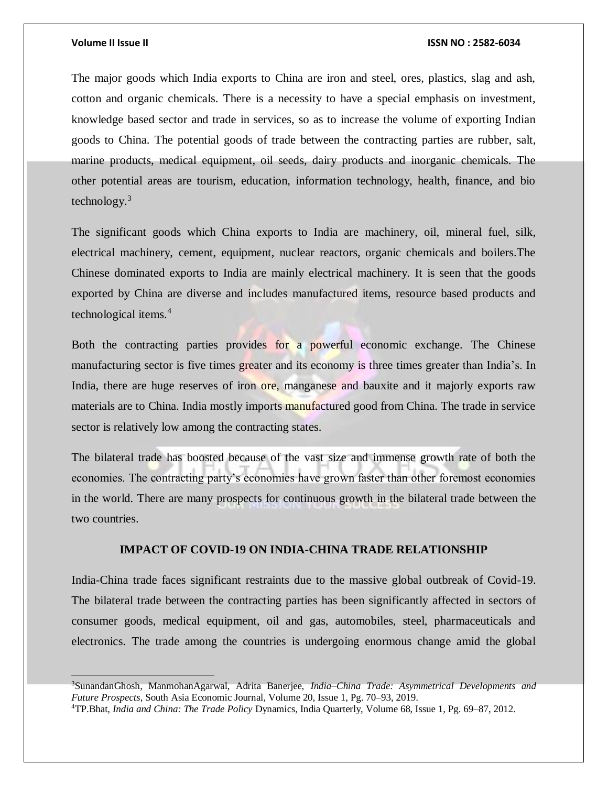### **Volume II Issue II ISSN NO : 2582-6034**

The major goods which India exports to China are iron and steel, ores, plastics, slag and ash, cotton and organic chemicals. There is a necessity to have a special emphasis on investment, knowledge based sector and trade in services, so as to increase the volume of exporting Indian goods to China. The potential goods of trade between the contracting parties are rubber, salt, marine products, medical equipment, oil seeds, dairy products and inorganic chemicals. The other potential areas are tourism, education, information technology, health, finance, and bio technology. $3$ 

The significant goods which China exports to India are machinery, oil, mineral fuel, silk, electrical machinery, cement, equipment, nuclear reactors, organic chemicals and boilers.The Chinese dominated exports to India are mainly electrical machinery. It is seen that the goods exported by China are diverse and includes manufactured items, resource based products and technological items.<sup>4</sup>

Both the contracting parties provides for a powerful economic exchange. The Chinese manufacturing sector is five times greater and its economy is three times greater than India's. In India, there are huge reserves of iron ore, manganese and bauxite and it majorly exports raw materials are to China. India mostly imports manufactured good from China. The trade in service sector is relatively low among the contracting states.

The bilateral trade has boosted because of the vast size and immense growth rate of both the economies. The contracting party's economies have grown faster than other foremost economies in the world. There are many prospects for continuous growth in the bilateral trade between the two countries.

## **IMPACT OF COVID-19 ON INDIA-CHINA TRADE RELATIONSHIP**

India-China trade faces significant restraints due to the massive global outbreak of Covid-19. The bilateral trade between the contracting parties has been significantly affected in sectors of consumer goods, medical equipment, oil and gas, automobiles, steel, pharmaceuticals and electronics. The trade among the countries is undergoing enormous change amid the global

<sup>3</sup>SunandanGhosh, ManmohanAgarwal, Adrita Banerjee, *India–China Trade: Asymmetrical Developments and Future Prospects*, South Asia Economic Journal, Volume 20, Issue 1, Pg. 70–93, 2019.

<sup>4</sup>TP.Bhat, *India and China: The Trade Policy* Dynamics, India Quarterly, Volume 68, Issue 1, Pg. 69–87, 2012.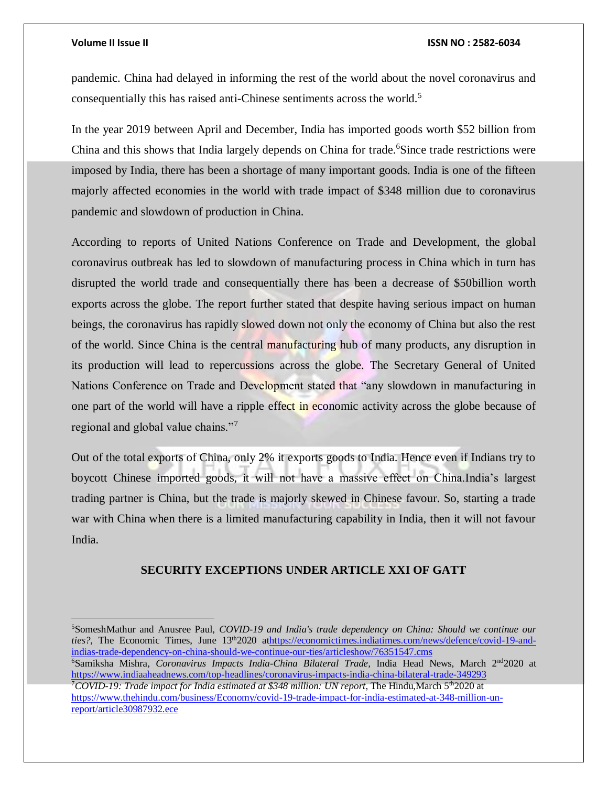### **Volume II Issue II ISSN NO : 2582-6034**

pandemic. China had delayed in informing the rest of the world about the novel coronavirus and consequentially this has raised anti-Chinese sentiments across the world.<sup>5</sup>

In the year 2019 between April and December, India has imported goods worth \$52 billion from China and this shows that India largely depends on China for trade.<sup>6</sup>Since trade restrictions were imposed by India, there has been a shortage of many important goods. India is one of the fifteen majorly affected economies in the world with trade impact of \$348 million due to coronavirus pandemic and slowdown of production in China.

According to reports of United Nations Conference on Trade and Development, the global coronavirus outbreak has led to slowdown of manufacturing process in China which in turn has disrupted the world trade and consequentially there has been a decrease of \$50billion worth exports across the globe. The report further stated that despite having serious impact on human beings, the coronavirus has rapidly slowed down not only the economy of China but also the rest of the world. Since China is the central manufacturing hub of many products, any disruption in its production will lead to repercussions across the globe. The Secretary General of United Nations Conference on Trade and Development stated that "any slowdown in manufacturing in one part of the world will have a ripple effect in economic activity across the globe because of regional and global value chains."<sup>7</sup>

Out of the total exports of China, only 2% it exports goods to India. Hence even if Indians try to boycott Chinese imported goods, it will not have a massive effect on China.India's largest trading partner is China, but the trade is majorly skewed in Chinese favour. So, starting a trade war with China when there is a limited manufacturing capability in India, then it will not favour India.

# **SECURITY EXCEPTIONS UNDER ARTICLE XXI OF GATT**

<sup>5</sup>SomeshMathur and Anusree Paul, *COVID-19 and India's trade dependency on China: Should we continue our ties?*, The Economic Times, June 13<sup>th</sup>2020 a[thttps://economictimes.indiatimes.com/news/defence/covid-19-and](https://economictimes.indiatimes.com/news/defence/covid-19-and-indias-trade-dependency-on-china-should-we-continue-our-ties/articleshow/76351547.cms)[indias-trade-dependency-on-china-should-we-continue-our-ties/articleshow/76351547.cms](https://economictimes.indiatimes.com/news/defence/covid-19-and-indias-trade-dependency-on-china-should-we-continue-our-ties/articleshow/76351547.cms)

<sup>6</sup>Samiksha Mishra, *Coronavirus Impacts India-China Bilateral Trade,* India Head News, March 2nd2020 at <https://www.indiaaheadnews.com/top-headlines/coronavirus-impacts-india-china-bilateral-trade-349293> <sup>7</sup>COVID-19: Trade impact for India estimated at \$348 million: UN report, The Hindu,March 5<sup>th</sup>2020 at [https://www.thehindu.com/business/Economy/covid-19-trade-impact-for-india-estimated-at-348-million-un](https://www.thehindu.com/business/Economy/covid-19-trade-impact-for-india-estimated-at-348-million-un-report/article30987932.ece)[report/article30987932.ece](https://www.thehindu.com/business/Economy/covid-19-trade-impact-for-india-estimated-at-348-million-un-report/article30987932.ece)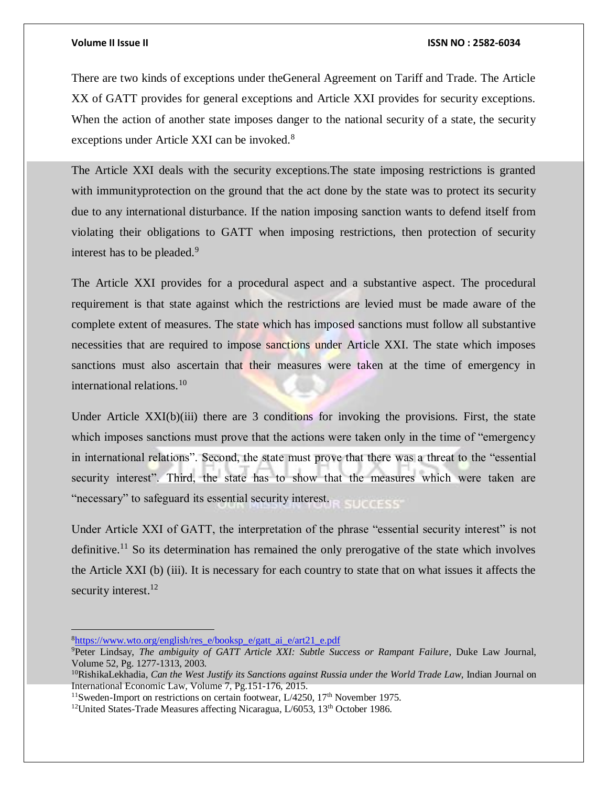There are two kinds of exceptions under theGeneral Agreement on Tariff and Trade. The Article XX of GATT provides for general exceptions and Article XXI provides for security exceptions. When the action of another state imposes danger to the national security of a state, the security exceptions under Article XXI can be invoked.<sup>8</sup>

The Article XXI deals with the security exceptions.The state imposing restrictions is granted with immunityprotection on the ground that the act done by the state was to protect its security due to any international disturbance. If the nation imposing sanction wants to defend itself from violating their obligations to GATT when imposing restrictions, then protection of security interest has to be pleaded.<sup>9</sup>

The Article XXI provides for a procedural aspect and a substantive aspect. The procedural requirement is that state against which the restrictions are levied must be made aware of the complete extent of measures. The state which has imposed sanctions must follow all substantive necessities that are required to impose sanctions under Article XXI. The state which imposes sanctions must also ascertain that their measures were taken at the time of emergency in international relations.<sup>10</sup>

Under Article  $XXI(b)(iii)$  there are 3 conditions for invoking the provisions. First, the state which imposes sanctions must prove that the actions were taken only in the time of "emergency" in international relations". Second, the state must prove that there was a threat to the "essential security interest". Third, the state has to show that the measures which were taken are "necessary" to safeguard its essential security interest.

Under Article XXI of GATT, the interpretation of the phrase "essential security interest" is not definitive.<sup>11</sup> So its determination has remained the only prerogative of the state which involves the Article XXI (b) (iii). It is necessary for each country to state that on what issues it affects the security interest.<sup>12</sup>

 $\overline{a}$ 

<sup>8</sup>[https://www.wto.org/english/res\\_e/booksp\\_e/gatt\\_ai\\_e/art21\\_e.pdf](https://www.wto.org/english/res_e/booksp_e/gatt_ai_e/art21_e.pdf)

<sup>9</sup>Peter Lindsay, *The ambiguity of GATT Article XXI: Subtle Success or Rampant Failure*, Duke Law Journal, Volume 52, Pg. 1277-1313, 2003.

<sup>10</sup>RishikaLekhadia*, Can the West Justify its Sanctions against Russia under the World Trade Law*, Indian Journal on International Economic Law, Volume 7, Pg.151-176, 2015.

<sup>&</sup>lt;sup>11</sup>Sweden-Import on restrictions on certain footwear, L/4250, 17<sup>th</sup> November 1975.

<sup>&</sup>lt;sup>12</sup>United States-Trade Measures affecting Nicaragua, L/6053, 13<sup>th</sup> October 1986.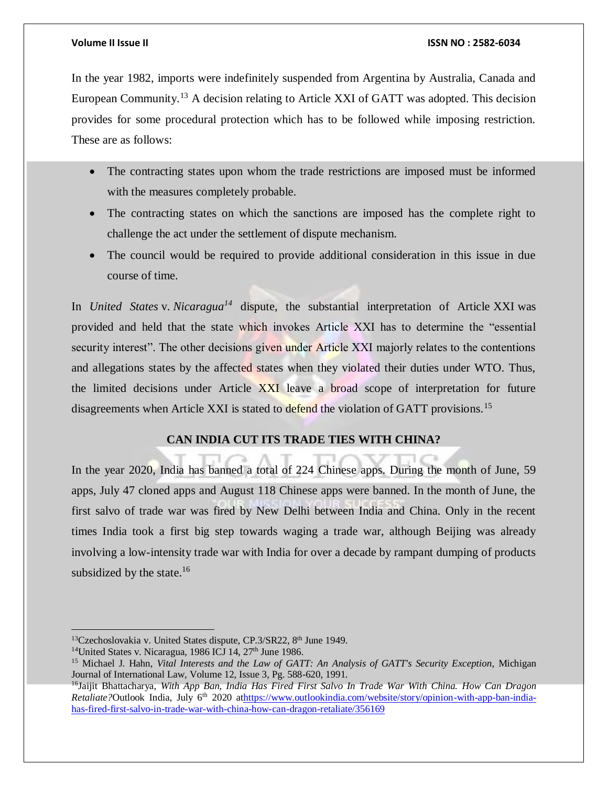In the year 1982, imports were indefinitely suspended from Argentina by Australia, Canada and European Community.<sup>13</sup> A decision relating to Article XXI of GATT was adopted. This decision provides for some procedural protection which has to be followed while imposing restriction. These are as follows:

- The contracting states upon whom the trade restrictions are imposed must be informed with the measures completely probable.
- The contracting states on which the sanctions are imposed has the complete right to challenge the act under the settlement of dispute mechanism.
- The council would be required to provide additional consideration in this issue in due course of time.

In *United States* v. *Nicaragua<sup>14</sup>* dispute, the substantial interpretation of Article XXI was provided and held that the state which invokes Article XXI has to determine the "essential security interest". The other decisions given under Article XXI majorly relates to the contentions and allegations states by the affected states when they violated their duties under WTO. Thus, the limited decisions under Article XXI leave a broad scope of interpretation for future disagreements when Article XXI is stated to defend the violation of GATT provisions.<sup>15</sup>

# **CAN INDIA CUT ITS TRADE TIES WITH CHINA?**

In the year 2020, India has banned a total of 224 Chinese apps. During the month of June, 59 apps, July 47 cloned apps and August 118 Chinese apps were banned. In the month of June, the first salvo of trade war was fired by New Delhi between India and China. Only in the recent times India took a first big step towards waging a trade war, although Beijing was already involving a low-intensity trade war with India for over a decade by rampant dumping of products subsidized by the state. $16$ 

 $\overline{a}$ 

<sup>&</sup>lt;sup>13</sup>Czechoslovakia v. United States dispute, CP.3/SR22, 8<sup>th</sup> June 1949.

<sup>&</sup>lt;sup>14</sup>United States v. Nicaragua, 1986 ICJ 14,  $27<sup>th</sup>$  June 1986.

<sup>15</sup> Michael J. Hahn, *Vital Interests and the Law of GATT: An Analysis of GATT's Security Exception*, Michigan Journal of International Law, Volume 12, Issue 3, Pg. 588-620, 1991.

<sup>16</sup>Jaijit Bhattacharya, *With App Ban, India Has Fired First Salvo In Trade War With China. How Can Dragon Retaliate?*Outlook India, July 6<sup>th</sup> 2020 a[thttps://www.outlookindia.com/website/story/opinion-with-app-ban-india](https://www.outlookindia.com/website/story/opinion-with-app-ban-india-has-fired-first-salvo-in-trade-war-with-china-how-can-dragon-retaliate/356169)[has-fired-first-salvo-in-trade-war-with-china-how-can-dragon-retaliate/356169](https://www.outlookindia.com/website/story/opinion-with-app-ban-india-has-fired-first-salvo-in-trade-war-with-china-how-can-dragon-retaliate/356169)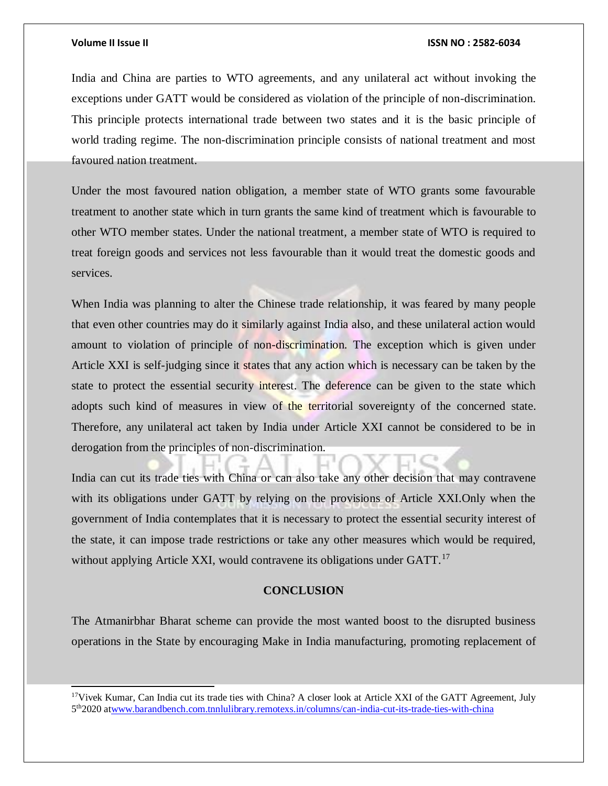l

### **Volume II Issue II ISSN NO : 2582-6034**

India and China are parties to WTO agreements, and any unilateral act without invoking the exceptions under GATT would be considered as violation of the principle of non-discrimination. This principle protects international trade between two states and it is the basic principle of world trading regime. The non-discrimination principle consists of national treatment and most favoured nation treatment.

Under the most favoured nation obligation, a member state of WTO grants some favourable treatment to another state which in turn grants the same kind of treatment which is favourable to other WTO member states. Under the national treatment, a member state of WTO is required to treat foreign goods and services not less favourable than it would treat the domestic goods and services.

When India was planning to alter the Chinese trade relationship, it was feared by many people that even other countries may do it similarly against India also, and these unilateral action would amount to violation of principle of non-discrimination. The exception which is given under Article XXI is self-judging since it states that any action which is necessary can be taken by the state to protect the essential security interest. The deference can be given to the state which adopts such kind of measures in view of the territorial sovereignty of the concerned state. Therefore, any unilateral act taken by India under Article XXI cannot be considered to be in derogation from the principles of non-discrimination.

India can cut its trade ties with China or can also take any other decision that may contravene with its obligations under GATT by relying on the provisions of Article XXI.Only when the government of India contemplates that it is necessary to protect the essential security interest of the state, it can impose trade restrictions or take any other measures which would be required, without applying Article XXI, would contravene its obligations under GATT.<sup>17</sup>

# **CONCLUSION**

The Atmanirbhar Bharat scheme can provide the most wanted boost to the disrupted business operations in the State by encouraging Make in India manufacturing, promoting replacement of

<sup>&</sup>lt;sup>17</sup>Vivek Kumar, Can India cut its trade ties with China? A closer look at Article XXI of the GATT Agreement, July 5<sup>th</sup>2020 a[twww.barandbench.com.tnnlulibrary.remotexs.in/columns/can-india-cut-its-trade-ties-with-china](http://www.barandbench.com.tnnlulibrary.remotexs.in/columns/can-india-cut-its-trade-ties-with-china)